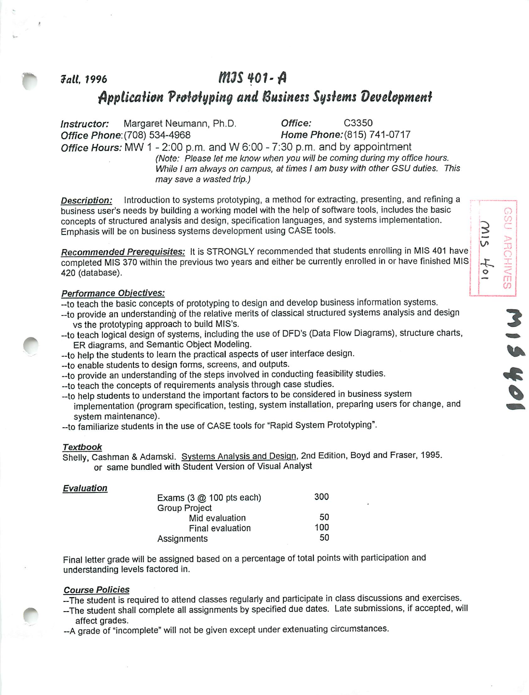# *lull, 1996 tttJSWI-fl Application Prototyping and Business Systems development*

*Instructor:* Margaret Neumann, Ph.D. *Office:* C3350 *Office* **Phone:{708)** 534-4968 *Home P/?one;(815) 741-0717 Office Hours:* MW 1 - 2:00 p.m. and W 6:00 - 7:30 p.m. and by appointment

**(Note: Please let me know when you willbe coming during my office hours. While I am always on campus, at times I am busy with other GSU duties. This may save a wasted trip.)**

> *\$ v>*

*4^ o <* 1 *—*

*m | <sup>03</sup>*

*Descriotion:* Introduction to systems prototyping, a method for extracting, presenting, and refining a business user's needs by building a working model with the help of software tools, includes the basic concepts of structured analysis and design, specification languages, and systems implementation. Emphasis will be on business systems development using CASE tools.

*Recommended Prerequisites:* It is STRONGLY recommended that students enrolling in MIS 401 have completed MIS 370 within the previous two years and either be currently enrolled in or have finished MIS 420 (database).

#### *Performance Objectives:*

--to teach the basic concepts of prototyping to design and develop business information systems.

- --to provide an understanding of the relative merits of classical structured systems analysis and design vs the prototyping approach to build MIS's. ^
- vs the prototyping approach to baild this 3.<br>--to teach logical design of systems, including the use of DFD's (Data Flow Diagrams), structure charts, reach logical design of systems, including the use of DFD's (Data Flow Diagrams), structure charts,<br>ER diagrams, and Semantic Object Modeling.
- ER diagrams, and Semantic Object Modeling.<br>--to help the students to learn the practical aspects of user interface design.
- -to enable students to design forms, screens, and outputs.
- --to provide an understanding of the steps involved in conducting feasibility studies.<br>--to teach the concepts of requirements analysis through case studies.
- 
- -to help students to understand the important factors to be considered in business system
- implementation (program specification, testing, system installation, preparing users for change, and system maintenance),

-to familiarize students in the use of CASE tools for "Rapid System Prototyping".

#### *Textbook*

Shelly, Cashman & Adamski. Systems Analysis and Design, 2nd Edition, Boyd and Fraser, 1995. or same bundled with Student Version of Visual Analyst

#### *Evaluation*

| Exams $(3 \text{ @ } 100 \text{ pts each})$ | 300 |
|---------------------------------------------|-----|
| <b>Group Project</b>                        |     |
| Mid evaluation                              | 50  |
| Final evaluation                            | 100 |
| Assignments                                 | 50  |

Final letter grade will be assigned based on a percentage of total points with participation and understanding levels factored in.

### *Course Policies*

-The student is required to attend classes regularly and participate in class discussions and exercises.

-- The student shall complete all assignments by specified due dates. Late submissions, if accepted, will affect grades.

-A grade of "incomplete" will not be given except under extenuating circumstances.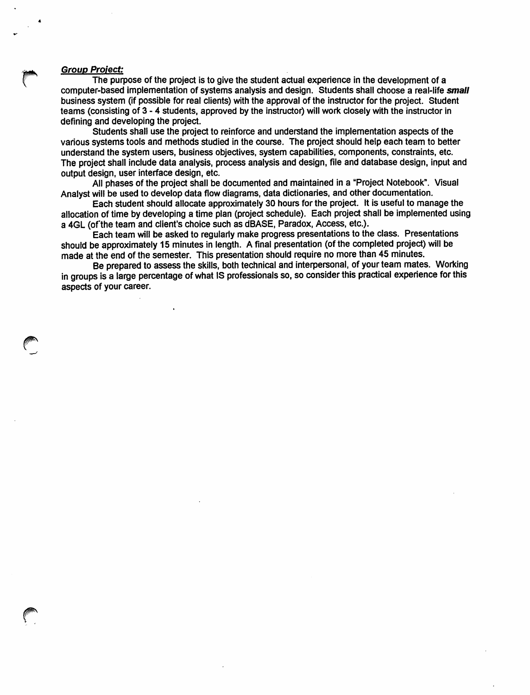#### *r Group Project:*

The purpose of the project is to give the student actual experience in the development of a computer-based implementation of systems analysis and design. Students shall choose a real-life *small* business system (if possible for real clients) with the approval of the instructor for the project. Student teams (consisting of 3 - 4 students, approved by the instructor) will work closely with the instructor in defining and developing the project.

Students shall use the project to reinforce and understand the implementation aspects of the various systems tools and methods studied in the course. The project should help each team to better understand the system users, business objectives, system capabilities, components, constraints, etc. The project shall include data analysis, process analysis and design, file and database design, input and output design, user interface design, etc.

All phases of the project shall be documented and maintained in a "Project Notebook". Visual Analystwill be used to develop data flow diagrams, data dictionaries, and other documentation.

Each student should allocate approximately 30 hours for the project. It is useful to manage the allocation of time by developing a time plan (project schedule). Each project shall be implemented using a 4GL (of the team and client's choice such as dBASE, Paradox, Access, etc.).

Each team will be asked to regularly make progress presentations to the class. Presentations should be approximately 15 minutes in length. A final presentation (of the completed project) will be made at the end of the semester. This presentation should require no more than 45 minutes.

Be prepared to assess the skills, both technical and interpersonal, of your team mates. Working in groups is a large percentage of what IS professionals so, so consider this practical experience for this aspects of your career.